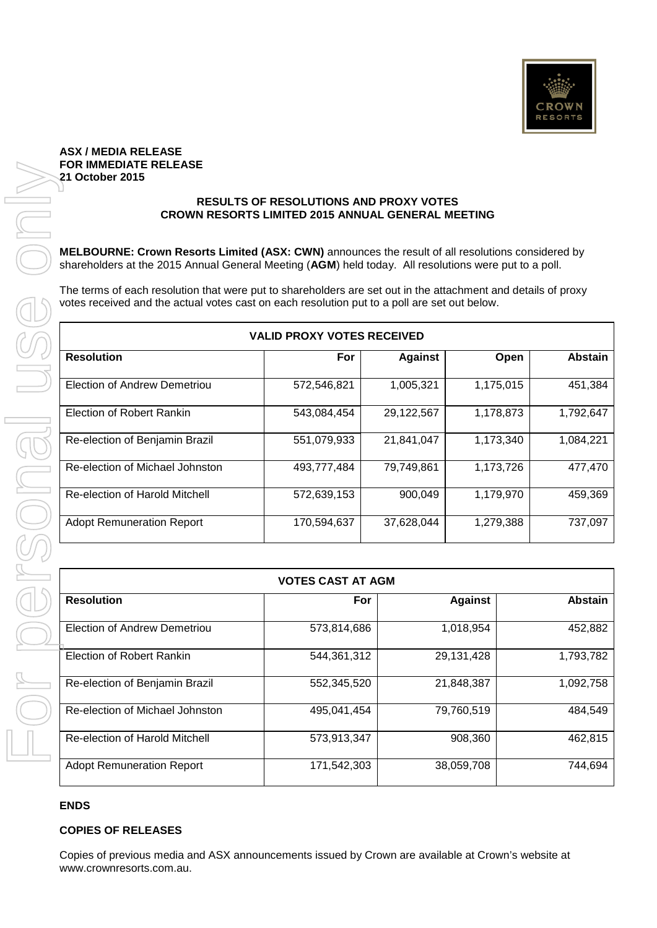

### **ASX / MEDIA RELEASE FOR IMMEDIATE RELEASE 21 October 2015**

#### **RESULTS OF RESOLUTIONS AND PROXY VOTES CROWN RESORTS LIMITED 2015 ANNUAL GENERAL MEETING**

|                                     | <b>VALID PROXY VOTES RECEIVED</b> |                |           |                |  |
|-------------------------------------|-----------------------------------|----------------|-----------|----------------|--|
| <b>Resolution</b>                   | For                               | <b>Against</b> | Open      | <b>Abstain</b> |  |
| <b>Election of Andrew Demetriou</b> | 572,546,821                       | 1,005,321      | 1,175,015 | 451,384        |  |
| <b>Election of Robert Rankin</b>    | 543,084,454                       | 29,122,567     | 1,178,873 | 1,792,647      |  |
| Re-election of Benjamin Brazil      | 551,079,933                       | 21,841,047     | 1,173,340 | 1,084,221      |  |
| Re-election of Michael Johnston     | 493,777,484                       | 79,749,861     | 1,173,726 | 477,470        |  |
| Re-election of Harold Mitchell      | 572,639,153                       | 900,049        | 1,179,970 | 459,369        |  |
| <b>Adopt Remuneration Report</b>    | 170,594,637                       | 37,628,044     | 1,279,388 | 737,097        |  |

| MELBOURNE: Crown Resorts Limited (ASX: CWN) announces the result of all resolutions considered by<br>shareholders at the 2015 Annual General Meeting (AGM) held today. All resolutions were put to a poll.    |                                   |                |                |                       |  |
|---------------------------------------------------------------------------------------------------------------------------------------------------------------------------------------------------------------|-----------------------------------|----------------|----------------|-----------------------|--|
| The terms of each resolution that were put to shareholders are set out in the attachment and details of proxy<br>votes received and the actual votes cast on each resolution put to a poll are set out below. |                                   |                |                |                       |  |
|                                                                                                                                                                                                               | <b>VALID PROXY VOTES RECEIVED</b> |                |                |                       |  |
| <b>Resolution</b>                                                                                                                                                                                             | For                               | <b>Against</b> | Open           | <b>Abstain</b>        |  |
| <b>Election of Andrew Demetriou</b>                                                                                                                                                                           | 572,546,821                       | 1,005,321      | 1,175,015      | 451,384               |  |
| <b>Election of Robert Rankin</b>                                                                                                                                                                              | 543,084,454                       | 29,122,567     | 1,178,873      | 1,792,647             |  |
| Re-election of Benjamin Brazil                                                                                                                                                                                | 551,079,933                       | 21,841,047     | 1,173,340      | 1,084,221             |  |
| Re-election of Michael Johnston                                                                                                                                                                               | 493,777,484                       | 79,749,861     | 1,173,726      | 477,470               |  |
| Re-election of Harold Mitchell                                                                                                                                                                                | 572,639,153                       | 900,049        | 1,179,970      | 459,369               |  |
| <b>Adopt Remuneration Report</b>                                                                                                                                                                              | 170,594,637                       | 37,628,044     | 1,279,388      | 737,097               |  |
|                                                                                                                                                                                                               |                                   |                |                |                       |  |
|                                                                                                                                                                                                               | <b>VOTES CAST AT AGM</b>          |                |                |                       |  |
| <b>Resolution</b>                                                                                                                                                                                             | For                               |                | <b>Against</b> | <b>Abstain</b>        |  |
| <b>Election of Andrew Demetriou</b>                                                                                                                                                                           | 573,814,686                       |                | 1,018,954      | 452,882               |  |
| Election of Robert Rankin                                                                                                                                                                                     | 544,361,312                       |                | 29,131,428     | 1,793,782             |  |
| Re-election of Benjamin Brazil                                                                                                                                                                                | 552,345,520                       |                | 21,848,387     | 1,092,758             |  |
| Re-election of Michael Johnston                                                                                                                                                                               | 495,041,454                       |                | 79,760,519     | 484,549               |  |
| Re-election of Harold Mitchell                                                                                                                                                                                | 573,913,347                       |                | 908,360        | 462,815               |  |
| <b>Adopt Remuneration Report</b>                                                                                                                                                                              |                                   | 171,542,303    |                | 744,694<br>38,059,708 |  |
|                                                                                                                                                                                                               |                                   |                |                |                       |  |
| <b>ENDS</b><br><b>COPIES OF RELEASES</b>                                                                                                                                                                      |                                   |                |                |                       |  |

# **ENDS**

# **COPIES OF RELEASES**